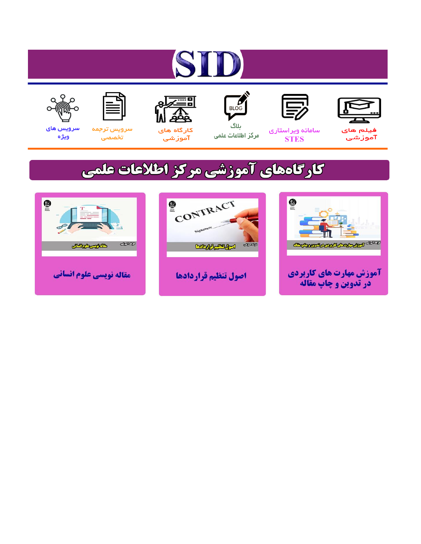# ST











مرکز اطلاعات علمی

 $\frac{1}{\sqrt{\frac{1}{100}}}$ ىلاگ



آموزشي

空

سرويس ترجمه تخصصى



سرویس های ويژه

## كارگاههای آموزشی مركز اطلاعات علمی





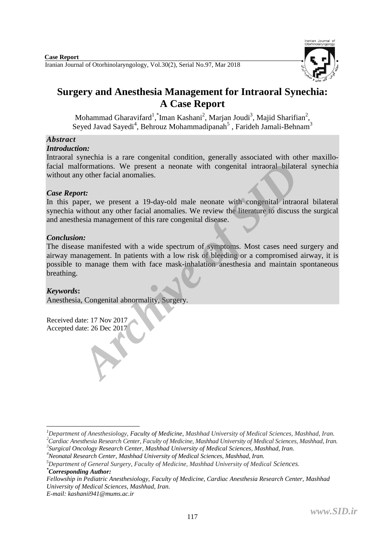Iranian Journal of Otorhinolaryngology, Vol.30(2), Serial No.97, Mar 2018



### **Surgery and Anesthesia Management for Intraoral Synechia: A Case Report**

Mohammad Gharavifard<sup>1</sup>, <sup>\*</sup>Iman Kashani<sup>2</sup>, Marjan Joudi<sup>3</sup>, Majid Sharifian<sup>2</sup>, Seyed Javad Sayedi<sup>4</sup>, Behrouz Mohammadipanah<sup>5</sup>, Farideh Jamali-Behnam<sup>3</sup>

#### *Abstract*

#### *Introduction:*

Intraoral synechia is a rare congenital condition, generally associated with other maxillofacial malformations. We present a neonate with congenital intraoral bilateral synechia without any other facial anomalies.

#### *Case Report:*

In this paper, we present a 19-day-old male neonate with congenital intraoral bilateral synechia without any other facial anomalies. We review the literature to discuss the surgical and anesthesia management of this rare congenital disease.

#### *Conclusion:*

The disease manifested with a wide spectrum of symptoms. Most cases need surgery and airway management. In patients with a low risk of bleeding or a compromised airway, it is possible to manage them with face mask-inhalation anesthesia and maintain spontaneous breathing. Formations. We present a neonate with congenital intraoral bilate<br>y other facial anomalies.<br> **Art:**<br>
Archive of SiD<br>
Archive of SiD<br>
Archive of SiD<br>
Archive of SiD<br>
Archive of SiD<br>
Archive of SiD and Euler and the content

#### *Keywords***:**

Anesthesia, Congenital abnormality, Surgery.

Received date: 17 Nov 2017 Accepted date: 26 Dec 2017

1

*E-mail: [kashanii941@mums.ac.ir](mailto:kashanii941@mums.ac.ir)*

*<sup>1</sup>Department of Anesthesiology, Faculty of Medicine, Mashhad University of Medical Sciences, Mashhad, Iran. <sup>2</sup>Cardiac Anesthesia Research Center, Faculty of Medicine, Mashhad University of Medical Sciences, Mashhad, Iran.*

*<sup>3</sup> Surgical Oncology Research Center, Mashhad University of Medical Sciences, Mashhad, Iran.*

*<sup>4</sup>Neonatal Research Center, Mashhad University of Medical Sciences, Mashhad, Iran.*

*<sup>5</sup>Department of General Surgery, Faculty of Medicine, Mashhad University of Medical Sciences.*

*<sup>\*</sup>Corresponding Author:* 

*Fellowship in Pediatric Anesthesiology, Faculty of Medicine, Cardiac Anesthesia Research Center, Mashhad University of Medical Sciences, Mashhad, Iran.*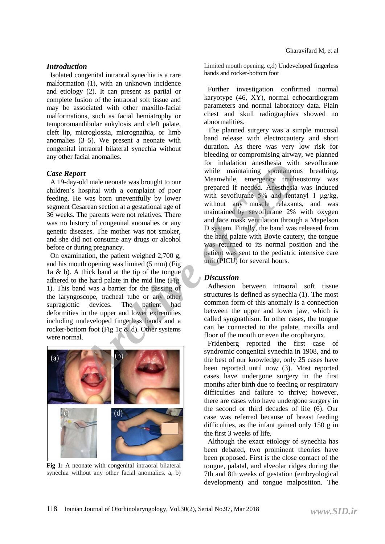#### *Introduction*

Isolated congenital intraoral synechia is a rare malformation (1), with an unknown incidence and etiology (2). It can present as partial or complete fusion of the intraoral soft tissue and may be associated with other maxillo-facial malformations, such as facial hemiatrophy or temporomandibular ankylosis and cleft palate, cleft lip, microglossia, micrognathia, or limb anomalies (3–5). We present a neonate with congenital intraoral bilateral synechia without any other facial anomalies.

#### *Case Report*

A 19-day-old male neonate was brought to our children's hospital with a complaint of poor feeding. He was born uneventfully by lower segment Cesarean section at a gestational age of 36 weeks. The parents were not relatives. There was no history of congenital anomalies or any genetic diseases. The mother was not smoker, and she did not consume any drugs or alcohol before or during pregnancy.

On examination, the patient weighed 2,700 g, and his mouth opening was limited (5 mm) (Fig 1a  $\&$  b). A thick band at the tip of the tongue adhered to the hard palate in the mid line (Fig. 1). This band was a barrier for the passing of the laryngoscope, tracheal tube or any other supraglottic devices. The patient had deformities in the upper and lower extremities including undeveloped fingerless hands and a rocker-bottom foot (Fig 1c & d). Other systems were normal.



**Fig 1:** A neonate with congenital intraoral bilateral synechia without any other facial anomalies. a, b)

Limited mouth opening. c,d) Undeveloped fingerless hands and rocker-bottom foot

Further investigation confirmed normal karyotype (46, XY), normal echocardiogram parameters and normal laboratory data. Plain chest and skull radiographies showed no abnormalities.

The planned surgery was a simple mucosal band release with electrocautery and short duration. As there was very low risk for bleeding or compromising airway, we planned for inhalation anesthesia with sevoflurane while maintaining spontaneous breathing. Meanwhile, emergency tracheostomy was prepared if needed. Anesthesia was induced with sevoflurane 5% and fentanyl 1 μg/kg, without any muscle relaxants, and was maintained by sevoflurane 2% with oxygen and face mask ventilation through a Mapelson D system. Finally, the band was released from the hard palate with Bovie cautery, the tongue was returned to its normal position and the patient was sent to the pediatric intensive care unit (PICU) for several hours. **EXERCT:** In the material of some set that the method of the set of the set of the set of the set of the set of the set of the set of the set of the set of the set of the set of the set of the set of the parents were not r

#### *Discussion*

Adhesion between intraoral soft tissue structures is defined as synechia (1). The most common form of this anomaly is a connection between the upper and lower jaw, which is called syngnathism. In other cases, the tongue can be connected to the palate, maxilla and floor of the mouth or even the oropharynx.

Fridenberg reported the first case of syndromic congenital synechia in 1908, and to the best of our knowledge, only 25 cases have been reported until now (3). Most reported cases have undergone surgery in the first months after birth due to feeding or respiratory difficulties and failure to thrive; however, there are cases who have undergone surgery in the second or third decades of life (6). Our case was referred because of breast feeding difficulties, as the infant gained only 150 g in the first 3 weeks of life.

Although the exact etiology of synechia has been debated, two prominent theories have been proposed. First is the close contact of the tongue, palatal, and alveolar ridges during the 7th and 8th weeks of gestation (embryological development) and tongue malposition. The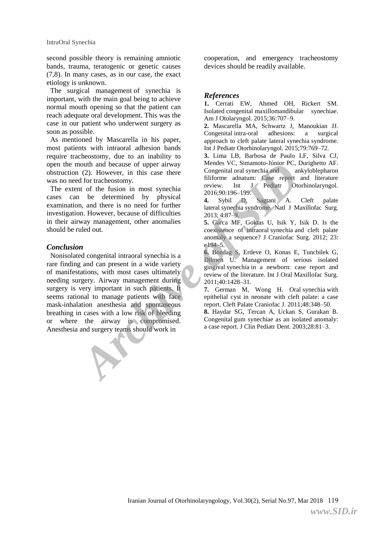second possible theory is remaining amniotic bands, trauma, teratogenic or genetic causes (7,8). In many cases, as in our case, the exact etiology is unknown.

The surgical management of synechia is important, with the main goal being to achieve normal mouth opening so that the patient can reach adequate oral development. This was the case in our patient who underwent surgery as soon as possible.

As mentioned by Mascarella in his paper, most patients with intraoral adhesion bands require tracheostomy, due to an inability to open the mouth and because of upper airway obstruction (2). However, in this case there was no need for tracheostomy.

The extent of the fusion in most synechia cases can be determined by physical examination, and there is no need for further investigation. However, because of difficulties in their airway management, other anomalies should be ruled out.

#### *Conclusion*

Nonisolated congenital intraoral synechia is a rare finding and can present in a wide variety of manifestations, with most cases ultimately needing surgery. Airway management during surgery is very important in such patients. It seems rational to manage patients with face mask-inhalation anesthesia and spontaneous breathing in cases with a low risk of bleeding or where the airway is compromised. Anesthesia and surgery teams should work in oouth and because of upper airway<br>
Mendes VC, Simannoto-Jaino Congital oral spacehia and<br>
(C). However, in this case there<br>
to Congenital oral spacehia and antipological<br>
of the fusion in most synchesia<br>
are congenital ora

cooperation, and emergency tracheostomy devices should be readily available.

#### *References*

**1.** Cerrati EW, Ahmed OH, Rickert SM. Isolated congenital maxillomandibular synechiae. Am J Otolaryngol. 2015;36:707–9.

**2.** Mascarella MA, Schwartz J, Manoukian JJ. Congenital intra-oral adhesions: a surgical approach to cleft palate lateral synechia syndrome. Int J Pediatr Otorhinolaryngol. 2015;79:769–72.

**3.** Lima LB, Barbosa de Paulo LF, Silva CJ, Mendes VC, Simamoto-Júnior PC, Durighetto AF. Congenital oral synechia and ankyloblepharon filiforme adnatum: Case report and literature<br>review. Int J Pediatr Otorhinolaryngol. review. Int J Pediatr Otorhinolaryngol. 2016;90:196–199.

**4.** Sybil D, Sagtani A. Cleft palate lateral synechia syndrome. Natl J Maxillofac Surg. 2013; 4:87–9.

**5.** Garca MF, Goktas U, Isik Y, Isik D. Is the coexistence of intraoral synechia and cleft palate anomaly a sequence? J Craniofac Surg. 2012; 23: e194–5.

**6.** Bozdag S, Erdeve O, Konas E, Tuncbilek G, Dilmen U. Management of serious isolated gingival synechia in a newborn: case report and review of the literature. Int J Oral Maxillofac Surg. 2011;40:1428–31.

**7.** German M, Wong H. Oral synechia with epithelial cyst in neonate with cleft palate: a case report. Cleft Palate Craniofac J. 2011;48:348–50.

**8.** Haydar SG, Tercan A, Uckan S, Gurakan B. Congenital gum synechiae as an isolated anomaly: